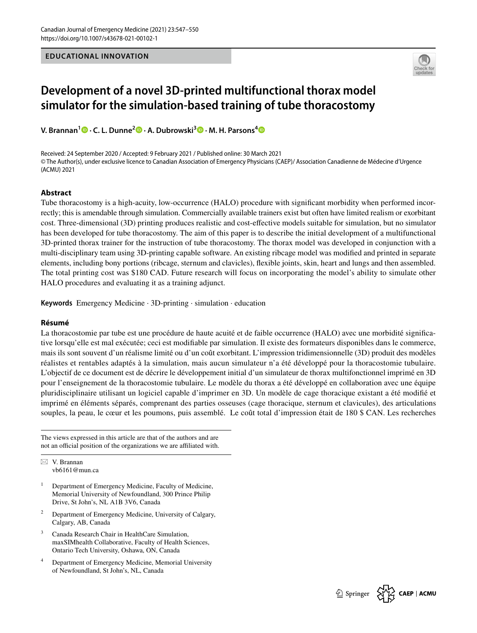

# **Development of a novel 3D‑printed multifunctional thorax model simulator for the simulation‑based training of tube thoracostomy**

**V. Brannan1  [·](http://orcid.org/0000-0001-9565-9227) C. L. Dunne2  [·](http://orcid.org/0000-0001-7465-3264) A. Dubrowski3 · M. H. Parsons[4](http://orcid.org/0000-0003-0341-9467)**

Received: 24 September 2020 / Accepted: 9 February 2021 / Published online: 30 March 2021 © The Author(s), under exclusive licence to Canadian Association of Emergency Physicians (CAEP)/ Association Canadienne de Médecine d'Urgence (ACMU) 2021

#### **Abstract**

**EQUENDRAL INNOVATION**<br> **Development of a novel 3D-printed multifunctional thorax model<br>
Final ator for the simulation-based training of tube thoraxsions)<br>
<b>Enoman's-** C. L. Dunne<sup>1</sup>9 . A. Dubrassis<sup>479</sup> . M. H. Parsons<sup>49</sup> Tube thoracostomy is a high-acuity, low-occurrence (HALO) procedure with signifcant morbidity when performed incorrectly; this is amendable through simulation. Commercially available trainers exist but often have limited realism or exorbitant cost. Three-dimensional (3D) printing produces realistic and cost-efective models suitable for simulation, but no simulator has been developed for tube thoracostomy. The aim of this paper is to describe the initial development of a multifunctional 3D-printed thorax trainer for the instruction of tube thoracostomy. The thorax model was developed in conjunction with a multi-disciplinary team using 3D-printing capable software. An existing ribcage model was modifed and printed in separate elements, including bony portions (ribcage, sternum and clavicles), fexible joints, skin, heart and lungs and then assembled. The total printing cost was \$180 CAD. Future research will focus on incorporating the model's ability to simulate other HALO procedures and evaluating it as a training adjunct.

**Keywords** Emergency Medicine · 3D-printing · simulation · education

#### **Résumé**

La thoracostomie par tube est une procédure de haute acuité et de faible occurrence (HALO) avec une morbidité signifcative lorsqu'elle est mal exécutée; ceci est modifable par simulation. Il existe des formateurs disponibles dans le commerce, mais ils sont souvent d'un réalisme limité ou d'un coût exorbitant. L'impression tridimensionnelle (3D) produit des modèles réalistes et rentables adaptés à la simulation, mais aucun simulateur n'a été développé pour la thoracostomie tubulaire. L'objectif de ce document est de décrire le développement initial d'un simulateur de thorax multifonctionnel imprimé en 3D pour l'enseignement de la thoracostomie tubulaire. Le modèle du thorax a été développé en collaboration avec une équipe pluridisciplinaire utilisant un logiciel capable d'imprimer en 3D. Un modèle de cage thoracique existant a été modifé et imprimé en éléments séparés, comprenant des parties osseuses (cage thoracique, sternum et clavicules), des articulations souples, la peau, le cœur et les poumons, puis assemblé. Le coût total d'impression était de 180 \$ CAN. Les recherches

The views expressed in this article are that of the authors and are not an official position of the organizations we are affiliated with.

 $\boxtimes$  V. Brannan vb6161@mun.ca

- <sup>1</sup> Department of Emergency Medicine, Faculty of Medicine, Memorial University of Newfoundland, 300 Prince Philip Drive, St John's, NL A1B 3V6, Canada
- <sup>2</sup> Department of Emergency Medicine, University of Calgary, Calgary, AB, Canada
- <sup>3</sup> Canada Research Chair in HealthCare Simulation, maxSIMhealth Collaborative, Faculty of Health Sciences, Ontario Tech University, Oshawa, ON, Canada
- <sup>4</sup> Department of Emergency Medicine, Memorial University of Newfoundland, St John's, NL, Canada

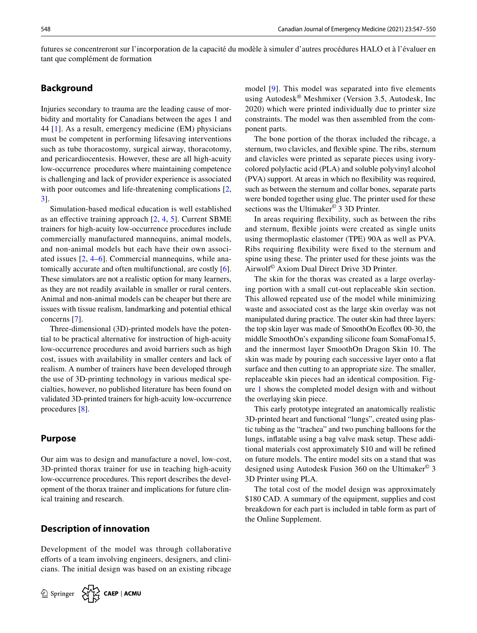futures se concentreront sur l'incorporation de la capacité du modèle à simuler d'autres procédures HALO et à l'évaluer en tant que complément de formation

# **Background**

Injuries secondary to trauma are the leading cause of morbidity and mortality for Canadians between the ages 1 and 44 [[1\]](#page-3-0). As a result, emergency medicine (EM) physicians must be competent in performing lifesaving interventions such as tube thoracostomy, surgical airway, thoracotomy, and pericardiocentesis. However, these are all high-acuity low-occurrence procedures where maintaining competence is challenging and lack of provider experience is associated with poor outcomes and life-threatening complications [[2,](#page-3-1) [3](#page-3-2)].

Simulation-based medical education is well established as an effective training approach  $[2, 4, 5]$  $[2, 4, 5]$  $[2, 4, 5]$  $[2, 4, 5]$  $[2, 4, 5]$  $[2, 4, 5]$  $[2, 4, 5]$ . Current SBME trainers for high-acuity low-occurrence procedures include commercially manufactured mannequins, animal models, and non-animal models but each have their own associated issues [\[2](#page-3-1), [4–](#page-3-3)[6](#page-3-5)]. Commercial mannequins, while anatomically accurate and often multifunctional, are costly [\[6](#page-3-5)]. These simulators are not a realistic option for many learners, as they are not readily available in smaller or rural centers. Animal and non-animal models can be cheaper but there are issues with tissue realism, landmarking and potential ethical concerns [[7](#page-3-6)].

Three-dimensional (3D)-printed models have the potential to be practical alternative for instruction of high-acuity low-occurrence procedures and avoid barriers such as high cost, issues with availability in smaller centers and lack of realism. A number of trainers have been developed through the use of 3D-printing technology in various medical specialties, however, no published literature has been found on validated 3D-printed trainers for high-acuity low-occurrence procedures [\[8](#page-3-7)].

#### **Purpose**

Our aim was to design and manufacture a novel, low-cost, 3D-printed thorax trainer for use in teaching high-acuity low-occurrence procedures. This report describes the development of the thorax trainer and implications for future clinical training and research.

# **Description of innovation**

Development of the model was through collaborative efforts of a team involving engineers, designers, and clinicians. The initial design was based on an existing ribcage



model [\[9](#page-3-8)]. This model was separated into five elements using Autodesk® Meshmixer (Version 3.5, Autodesk, Inc 2020) which were printed individually due to printer size constraints. The model was then assembled from the component parts.

The bone portion of the thorax included the ribcage, a sternum, two clavicles, and fexible spine. The ribs, sternum and clavicles were printed as separate pieces using ivorycolored polylactic acid (PLA) and soluble polyvinyl alcohol (PVA) support. At areas in which no fexibility was required, such as between the sternum and collar bones, separate parts were bonded together using glue. The printer used for these sections was the Ultimaker<sup>©</sup> 3 3D Printer.

In areas requiring fexibility, such as between the ribs and sternum, fexible joints were created as single units using thermoplastic elastomer (TPE) 90A as well as PVA. Ribs requiring fexibility were fxed to the sternum and spine using these. The printer used for these joints was the Airwolf© Axiom Dual Direct Drive 3D Printer.

The skin for the thorax was created as a large overlaying portion with a small cut-out replaceable skin section. This allowed repeated use of the model while minimizing waste and associated cost as the large skin overlay was not manipulated during practice. The outer skin had three layers: the top skin layer was made of SmoothOn Ecofex 00-30, the middle SmoothOn's expanding silicone foam SomaFoma15, and the innermost layer SmoothOn Dragon Skin 10. The skin was made by pouring each successive layer onto a fat surface and then cutting to an appropriate size. The smaller, replaceable skin pieces had an identical composition. Figure [1](#page-2-0) shows the completed model design with and without the overlaying skin piece.

This early prototype integrated an anatomically realistic 3D-printed heart and functional "lungs", created using plastic tubing as the "trachea" and two punching balloons for the lungs, infatable using a bag valve mask setup. These additional materials cost approximately \$10 and will be refned on future models. The entire model sits on a stand that was designed using Autodesk Fusion 360 on the Ultimaker© 3 3D Printer using PLA.

The total cost of the model design was approximately \$180 CAD. A summary of the equipment, supplies and cost breakdown for each part is included in table form as part of the Online Supplement.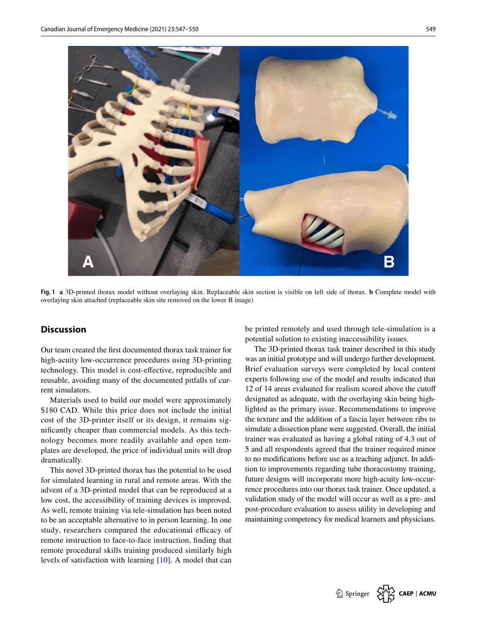

**Fig. 1 a** 3D-printed thorax model without overlaying skin. Replaceable skin section is visible on left side of thorax. **b** Complete model with overlaying skin attached (replaceable skin site removed on the lower B image)

# <span id="page-2-0"></span>**Discussion**

Our team created the frst documented thorax task trainer for high-acuity low-occurrence procedures using 3D-printing technology. This model is cost-efective, reproducible and reusable, avoiding many of the documented pitfalls of current simulators.

Materials used to build our model were approximately \$180 CAD. While this price does not include the initial cost of the 3D-printer itself or its design, it remains signifcantly cheaper than commercial models. As this technology becomes more readily available and open templates are developed, the price of individual units will drop dramatically.

This novel 3D-printed thorax has the potential to be used for simulated learning in rural and remote areas. With the advent of a 3D-printed model that can be reproduced at a low cost, the accessibility of training devices is improved. As well, remote training via tele-simulation has been noted to be an acceptable alternative to in person learning. In one study, researchers compared the educational efficacy of remote instruction to face-to-face instruction, fnding that remote procedural skills training produced similarly high levels of satisfaction with learning [\[10](#page-3-9)]. A model that can be printed remotely and used through tele-simulation is a potential solution to existing inaccessibility issues.

The 3D-printed thorax task trainer described in this study was an initial prototype and will undergo further development. Brief evaluation surveys were completed by local content experts following use of the model and results indicated that 12 of 14 areas evaluated for realism scored above the cutof designated as adequate, with the overlaying skin being highlighted as the primary issue. Recommendations to improve the texture and the addition of a fascia layer between ribs to simulate a dissection plane were suggested. Overall, the initial trainer was evaluated as having a global rating of 4.3 out of 5 and all respondents agreed that the trainer required minor to no modifcations before use as a teaching adjunct. In addition to improvements regarding tube thoracostomy training, future designs will incorporate more high-acuity low-occurrence procedures into our thorax task trainer. Once updated, a validation study of the model will occur as well as a pre- and post-procedure evaluation to assess utility in developing and maintaining competency for medical learners and physicians.